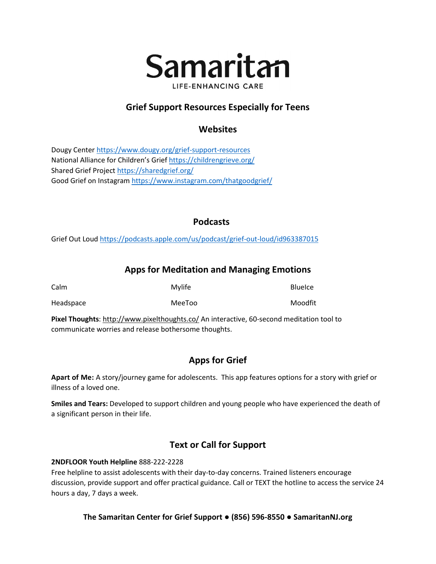

## **Grief Support Resources Especially for Teens**

## **Websites**

Dougy Cente[r https://www.dougy.org/grief-support-resources](https://www.dougy.org/grief-support-resources) National Alliance for Children's Grief<https://childrengrieve.org/> Shared Grief Projec[t https://sharedgrief.org/](https://sharedgrief.org/) Good Grief on Instagram<https://www.instagram.com/thatgoodgrief/>

### **Podcasts**

Grief Out Loud <https://podcasts.apple.com/us/podcast/grief-out-loud/id963387015>

## **Apps for Meditation and Managing Emotions**

| Calm      | Mylife | <b>BlueIce</b> |
|-----------|--------|----------------|
| Headspace | MeeToo | Moodfit        |

**Pixel Thoughts**:<http://www.pixelthoughts.co/> An interactive, 60-second meditation tool to communicate worries and release bothersome thoughts.

# **Apps for Grief**

**Apart of Me:** A story/journey game for adolescents. This app features options for a story with grief or illness of a loved one.

**Smiles and Tears:** Developed to support children and young people who have experienced the death of a significant person in their life.

# **Text or Call for Support**

### **2NDFLOOR Youth Helpline** 888-222-2228

Free helpline to assist adolescents with their day-to-day concerns. Trained listeners encourage discussion, provide support and offer practical guidance. Call or TEXT the hotline to access the service 24 hours a day, 7 days a week.

### **The Samaritan Center for Grief Support ● (856) 596-8550 ● SamaritanNJ.org**